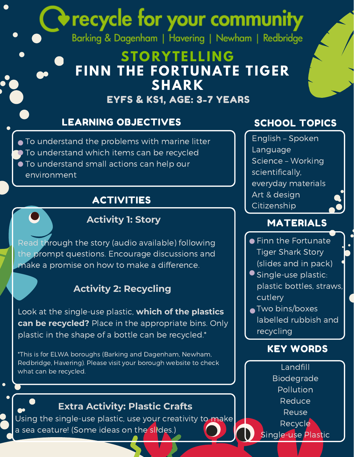# recycle for your community

Barking & Dagenham | Havering | Newham | Redbridge

### **STORYTELLING FINN THE FORTUNATE TIGER SHARK**

#### EYFS & KS1, AGE: 3-7 YEARS

#### LEARNING OBJECTIVES SCHOOL TOPICS

● To understand the problems with marine litter To understand which items can be recycled To understand small actions can help our environment

#### ACTIVITIES

#### **Activity 1: Story**

Read through the story (audio available) following the prompt questions. Encourage discussions and make a promise on how to make a difference.

#### **Activity 2: Recycling**

Look at the single-use plastic, **which of the plastics can be recycled?** Place in the appropriate bins. Only plastic in the shape of a bottle can be recycled.\*

\*This is for ELWA boroughs (Barking and Dagenham, Newham, Redbridge, Havering). Please visit your borough website to check what can be recycled.

#### **Extra Activity: Plastic Crafts**

Using the single-use plastic, use your creativity to make a sea ceature! (Some ideas on the slides.)

English – Spoken Language Science – Working scientifically, everyday materials Art & design Citizenship

#### MATERIALS

- **•** Finn the Fortunate Tiger Shark Story (slides and in pack)
- Single-use plastic: plastic bottles, straws, cutlery
- **Two bins/boxes** labelled rubbish and recycling

#### KEY WORDS

Landfill Biodegrade **Pollution** Reduce Reuse Recycle Single-use Plastic